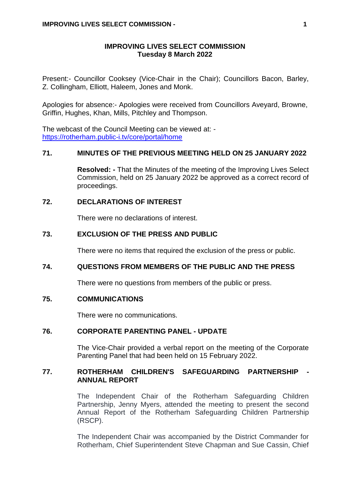#### **IMPROVING LIVES SELECT COMMISSION Tuesday 8 March 2022**

Present:- Councillor Cooksey (Vice-Chair in the Chair); Councillors Bacon, Barley, Z. Collingham, Elliott, Haleem, Jones and Monk.

Apologies for absence:- Apologies were received from Councillors Aveyard, Browne, Griffin, Hughes, Khan, Mills, Pitchley and Thompson.

The webcast of the Council Meeting can be viewed at: <https://rotherham.public-i.tv/core/portal/home>

#### **71. MINUTES OF THE PREVIOUS MEETING HELD ON 25 JANUARY 2022**

**Resolved: -** That the Minutes of the meeting of the Improving Lives Select Commission, held on 25 January 2022 be approved as a correct record of proceedings.

#### **72. DECLARATIONS OF INTEREST**

There were no declarations of interest.

#### **73. EXCLUSION OF THE PRESS AND PUBLIC**

There were no items that required the exclusion of the press or public.

## **74. QUESTIONS FROM MEMBERS OF THE PUBLIC AND THE PRESS**

There were no questions from members of the public or press.

### **75. COMMUNICATIONS**

There were no communications.

### **76. CORPORATE PARENTING PANEL - UPDATE**

The Vice-Chair provided a verbal report on the meeting of the Corporate Parenting Panel that had been held on 15 February 2022.

# **77. ROTHERHAM CHILDREN'S SAFEGUARDING PARTNERSHIP - ANNUAL REPORT**

The Independent Chair of the Rotherham Safeguarding Children Partnership, Jenny Myers, attended the meeting to present the second Annual Report of the Rotherham Safeguarding Children Partnership (RSCP).

The Independent Chair was accompanied by the District Commander for Rotherham, Chief Superintendent Steve Chapman and Sue Cassin, Chief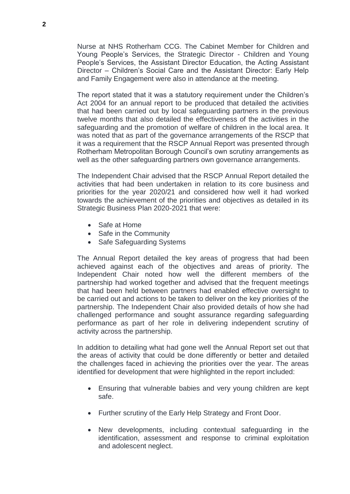Nurse at NHS Rotherham CCG. The Cabinet Member for Children and Young People's Services, the Strategic Director - Children and Young People's Services, the Assistant Director Education, the Acting Assistant Director – Children's Social Care and the Assistant Director: Early Help and Family Engagement were also in attendance at the meeting.

The report stated that it was a statutory requirement under the Children's Act 2004 for an annual report to be produced that detailed the activities that had been carried out by local safeguarding partners in the previous twelve months that also detailed the effectiveness of the activities in the safeguarding and the promotion of welfare of children in the local area. It was noted that as part of the governance arrangements of the RSCP that it was a requirement that the RSCP Annual Report was presented through Rotherham Metropolitan Borough Council's own scrutiny arrangements as well as the other safeguarding partners own governance arrangements.

The Independent Chair advised that the RSCP Annual Report detailed the activities that had been undertaken in relation to its core business and priorities for the year 2020/21 and considered how well it had worked towards the achievement of the priorities and objectives as detailed in its Strategic Business Plan 2020-2021 that were:

- Safe at Home
- Safe in the Community
- Safe Safeguarding Systems

The Annual Report detailed the key areas of progress that had been achieved against each of the objectives and areas of priority. The Independent Chair noted how well the different members of the partnership had worked together and advised that the frequent meetings that had been held between partners had enabled effective oversight to be carried out and actions to be taken to deliver on the key priorities of the partnership. The Independent Chair also provided details of how she had challenged performance and sought assurance regarding safeguarding performance as part of her role in delivering independent scrutiny of activity across the partnership.

In addition to detailing what had gone well the Annual Report set out that the areas of activity that could be done differently or better and detailed the challenges faced in achieving the priorities over the year. The areas identified for development that were highlighted in the report included:

- Ensuring that vulnerable babies and very young children are kept safe.
- Further scrutiny of the Early Help Strategy and Front Door.
- New developments, including contextual safeguarding in the identification, assessment and response to criminal exploitation and adolescent neglect.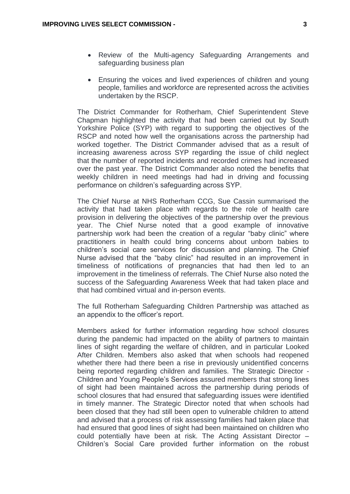- Review of the Multi-agency Safeguarding Arrangements and safeguarding business plan
- Ensuring the voices and lived experiences of children and young people, families and workforce are represented across the activities undertaken by the RSCP.

The District Commander for Rotherham, Chief Superintendent Steve Chapman highlighted the activity that had been carried out by South Yorkshire Police (SYP) with regard to supporting the objectives of the RSCP and noted how well the organisations across the partnership had worked together. The District Commander advised that as a result of increasing awareness across SYP regarding the issue of child neglect that the number of reported incidents and recorded crimes had increased over the past year. The District Commander also noted the benefits that weekly children in need meetings had had in driving and focussing performance on children's safeguarding across SYP.

The Chief Nurse at NHS Rotherham CCG, Sue Cassin summarised the activity that had taken place with regards to the role of health care provision in delivering the objectives of the partnership over the previous year. The Chief Nurse noted that a good example of innovative partnership work had been the creation of a regular "baby clinic" where practitioners in health could bring concerns about unborn babies to children's social care services for discussion and planning. The Chief Nurse advised that the "baby clinic" had resulted in an improvement in timeliness of notifications of pregnancies that had then led to an improvement in the timeliness of referrals. The Chief Nurse also noted the success of the Safeguarding Awareness Week that had taken place and that had combined virtual and in-person events.

The full Rotherham Safeguarding Children Partnership was attached as an appendix to the officer's report.

Members asked for further information regarding how school closures during the pandemic had impacted on the ability of partners to maintain lines of sight regarding the welfare of children, and in particular Looked After Children. Members also asked that when schools had reopened whether there had there been a rise in previously unidentified concerns being reported regarding children and families. The Strategic Director - Children and Young People's Services assured members that strong lines of sight had been maintained across the partnership during periods of school closures that had ensured that safeguarding issues were identified in timely manner. The Strategic Director noted that when schools had been closed that they had still been open to vulnerable children to attend and advised that a process of risk assessing families had taken place that had ensured that good lines of sight had been maintained on children who could potentially have been at risk. The Acting Assistant Director – Children's Social Care provided further information on the robust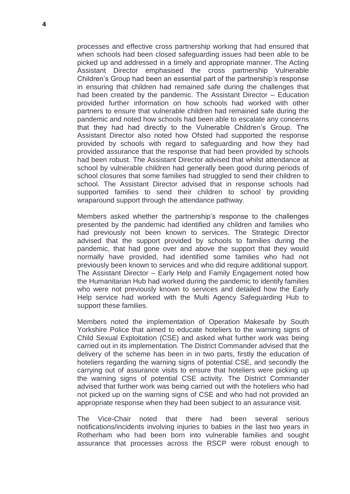processes and effective cross partnership working that had ensured that when schools had been closed safeguarding issues had been able to be picked up and addressed in a timely and appropriate manner. The Acting Assistant Director emphasised the cross partnership Vulnerable Children's Group had been an essential part of the partnership's response in ensuring that children had remained safe during the challenges that had been created by the pandemic. The Assistant Director – Education provided further information on how schools had worked with other partners to ensure that vulnerable children had remained safe during the pandemic and noted how schools had been able to escalate any concerns that they had had directly to the Vulnerable Children's Group. The Assistant Director also noted how Ofsted had supported the response provided by schools with regard to safeguarding and how they had provided assurance that the response that had been provided by schools had been robust. The Assistant Director advised that whilst attendance at school by vulnerable children had generally been good during periods of school closures that some families had struggled to send their children to school. The Assistant Director advised that in response schools had supported families to send their children to school by providing wraparound support through the attendance pathway.

Members asked whether the partnership's response to the challenges presented by the pandemic had identified any children and families who had previously not been known to services. The Strategic Director advised that the support provided by schools to families during the pandemic, that had gone over and above the support that they would normally have provided, had identified some families who had not previously been known to services and who did require additional support. The Assistant Director – Early Help and Family Engagement noted how the Humanitarian Hub had worked during the pandemic to identify families who were not previously known to services and detailed how the Early Help service had worked with the Multi Agency Safeguarding Hub to support these families.

Members noted the implementation of Operation Makesafe by South Yorkshire Police that aimed to educate hoteliers to the warning signs of Child Sexual Exploitation (CSE) and asked what further work was being carried out in its implementation. The District Commander advised that the delivery of the scheme has been in in two parts, firstly the education of hoteliers regarding the warning signs of potential CSE, and secondly the carrying out of assurance visits to ensure that hoteliers were picking up the warning signs of potential CSE activity. The District Commander advised that further work was being carried out with the hoteliers who had not picked up on the warning signs of CSE and who had not provided an appropriate response when they had been subject to an assurance visit.

The Vice-Chair noted that there had been several serious notifications/incidents involving injuries to babies in the last two years in Rotherham who had been born into vulnerable families and sought assurance that processes across the RSCP were robust enough to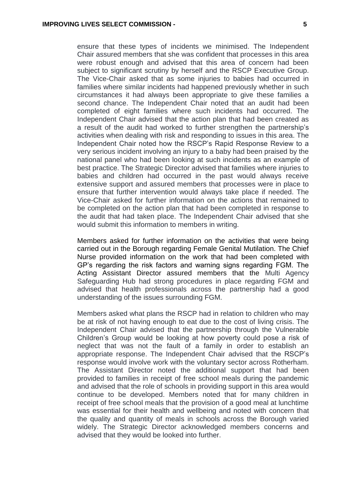ensure that these types of incidents we minimised. The Independent Chair assured members that she was confident that processes in this area were robust enough and advised that this area of concern had been subject to significant scrutiny by herself and the RSCP Executive Group. The Vice-Chair asked that as some injuries to babies had occurred in families where similar incidents had happened previously whether in such circumstances it had always been appropriate to give these families a second chance. The Independent Chair noted that an audit had been completed of eight families where such incidents had occurred. The Independent Chair advised that the action plan that had been created as a result of the audit had worked to further strengthen the partnership's activities when dealing with risk and responding to issues in this area. The Independent Chair noted how the RSCP's Rapid Response Review to a very serious incident involving an injury to a baby had been praised by the national panel who had been looking at such incidents as an example of best practice. The Strategic Director advised that families where injuries to babies and children had occurred in the past would always receive extensive support and assured members that processes were in place to ensure that further intervention would always take place if needed. The Vice-Chair asked for further information on the actions that remained to be completed on the action plan that had been completed in response to the audit that had taken place. The Independent Chair advised that she would submit this information to members in writing.

Members asked for further information on the activities that were being carried out in the Borough regarding Female Genital Mutilation. The Chief Nurse provided information on the work that had been completed with GP's regarding the risk factors and warning signs regarding FGM. The Acting Assistant Director assured members that the Multi Agency Safeguarding Hub had strong procedures in place regarding FGM and advised that health professionals across the partnership had a good understanding of the issues surrounding FGM.

Members asked what plans the RSCP had in relation to children who may be at risk of not having enough to eat due to the cost of living crisis. The Independent Chair advised that the partnership through the Vulnerable Children's Group would be looking at how poverty could pose a risk of neglect that was not the fault of a family in order to establish an appropriate response. The Independent Chair advised that the RSCP's response would involve work with the voluntary sector across Rotherham. The Assistant Director noted the additional support that had been provided to families in receipt of free school meals during the pandemic and advised that the role of schools in providing support in this area would continue to be developed. Members noted that for many children in receipt of free school meals that the provision of a good meal at lunchtime was essential for their health and wellbeing and noted with concern that the quality and quantity of meals in schools across the Borough varied widely. The Strategic Director acknowledged members concerns and advised that they would be looked into further.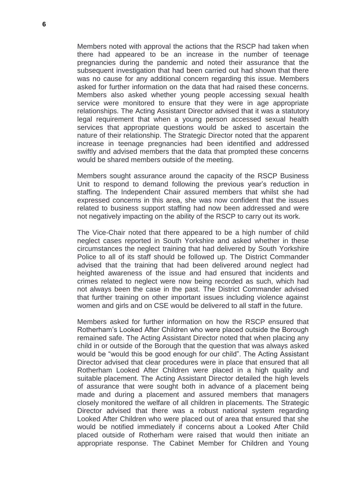Members noted with approval the actions that the RSCP had taken when there had appeared to be an increase in the number of teenage pregnancies during the pandemic and noted their assurance that the subsequent investigation that had been carried out had shown that there was no cause for any additional concern regarding this issue. Members asked for further information on the data that had raised these concerns. Members also asked whether young people accessing sexual health service were monitored to ensure that they were in age appropriate relationships. The Acting Assistant Director advised that it was a statutory legal requirement that when a young person accessed sexual health services that appropriate questions would be asked to ascertain the nature of their relationship. The Strategic Director noted that the apparent increase in teenage pregnancies had been identified and addressed swiftly and advised members that the data that prompted these concerns would be shared members outside of the meeting.

Members sought assurance around the capacity of the RSCP Business Unit to respond to demand following the previous year's reduction in staffing. The Independent Chair assured members that whilst she had expressed concerns in this area, she was now confident that the issues related to business support staffing had now been addressed and were not negatively impacting on the ability of the RSCP to carry out its work.

The Vice-Chair noted that there appeared to be a high number of child neglect cases reported in South Yorkshire and asked whether in these circumstances the neglect training that had delivered by South Yorkshire Police to all of its staff should be followed up. The District Commander advised that the training that had been delivered around neglect had heighted awareness of the issue and had ensured that incidents and crimes related to neglect were now being recorded as such, which had not always been the case in the past. The District Commander advised that further training on other important issues including violence against women and girls and on CSE would be delivered to all staff in the future.

Members asked for further information on how the RSCP ensured that Rotherham's Looked After Children who were placed outside the Borough remained safe. The Acting Assistant Director noted that when placing any child in or outside of the Borough that the question that was always asked would be "would this be good enough for our child". The Acting Assistant Director advised that clear procedures were in place that ensured that all Rotherham Looked After Children were placed in a high quality and suitable placement. The Acting Assistant Director detailed the high levels of assurance that were sought both in advance of a placement being made and during a placement and assured members that managers closely monitored the welfare of all children in placements. The Strategic Director advised that there was a robust national system regarding Looked After Children who were placed out of area that ensured that she would be notified immediately if concerns about a Looked After Child placed outside of Rotherham were raised that would then initiate an appropriate response. The Cabinet Member for Children and Young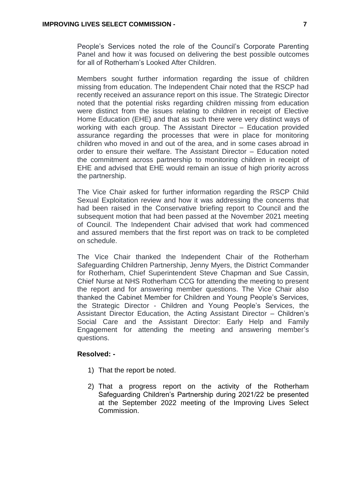People's Services noted the role of the Council's Corporate Parenting Panel and how it was focused on delivering the best possible outcomes for all of Rotherham's Looked After Children.

Members sought further information regarding the issue of children missing from education. The Independent Chair noted that the RSCP had recently received an assurance report on this issue. The Strategic Director noted that the potential risks regarding children missing from education were distinct from the issues relating to children in receipt of Elective Home Education (EHE) and that as such there were very distinct ways of working with each group. The Assistant Director – Education provided assurance regarding the processes that were in place for monitoring children who moved in and out of the area, and in some cases abroad in order to ensure their welfare. The Assistant Director – Education noted the commitment across partnership to monitoring children in receipt of EHE and advised that EHE would remain an issue of high priority across the partnership.

The Vice Chair asked for further information regarding the RSCP Child Sexual Exploitation review and how it was addressing the concerns that had been raised in the Conservative briefing report to Council and the subsequent motion that had been passed at the November 2021 meeting of Council. The Independent Chair advised that work had commenced and assured members that the first report was on track to be completed on schedule.

The Vice Chair thanked the Independent Chair of the Rotherham Safeguarding Children Partnership, Jenny Myers, the District Commander for Rotherham, Chief Superintendent Steve Chapman and Sue Cassin, Chief Nurse at NHS Rotherham CCG for attending the meeting to present the report and for answering member questions. The Vice Chair also thanked the Cabinet Member for Children and Young People's Services, the Strategic Director - Children and Young People's Services, the Assistant Director Education, the Acting Assistant Director – Children's Social Care and the Assistant Director: Early Help and Family Engagement for attending the meeting and answering member's questions.

#### **Resolved: -**

- 1) That the report be noted.
- 2) That a progress report on the activity of the Rotherham Safeguarding Children's Partnership during 2021/22 be presented at the September 2022 meeting of the Improving Lives Select **Commission**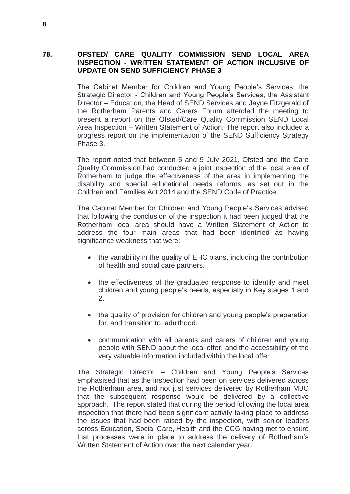### **78. OFSTED/ CARE QUALITY COMMISSION SEND LOCAL AREA INSPECTION - WRITTEN STATEMENT OF ACTION INCLUSIVE OF UPDATE ON SEND SUFFICIENCY PHASE 3**

The Cabinet Member for Children and Young People's Services, the Strategic Director - Children and Young People's Services, the Assistant Director – Education, the Head of SEND Services and Jayne Fitzgerald of the Rotherham Parents and Carers Forum attended the meeting to present a report on the Ofsted/Care Quality Commission SEND Local Area Inspection – Written Statement of Action. The report also included a progress report on the implementation of the SEND Sufficiency Strategy Phase 3.

The report noted that between 5 and 9 July 2021, Ofsted and the Care Quality Commission had conducted a joint inspection of the local area of Rotherham to judge the effectiveness of the area in implementing the disability and special educational needs reforms, as set out in the Children and Families Act 2014 and the SEND Code of Practice.

The Cabinet Member for Children and Young People's Services advised that following the conclusion of the inspection it had been judged that the Rotherham local area should have a Written Statement of Action to address the four main areas that had been identified as having significance weakness that were:

- the variability in the quality of EHC plans, including the contribution of health and social care partners.
- the effectiveness of the graduated response to identify and meet children and young people's needs, especially in Key stages 1 and 2.
- the quality of provision for children and young people's preparation for, and transition to, adulthood.
- communication with all parents and carers of children and young people with SEND about the local offer, and the accessibility of the very valuable information included within the local offer.

The Strategic Director – Children and Young People's Services emphasised that as the inspection had been on services delivered across the Rotherham area, and not just services delivered by Rotherham MBC that the subsequent response would be delivered by a collective approach. The report stated that during the period following the local area inspection that there had been significant activity taking place to address the issues that had been raised by the inspection, with senior leaders across Education, Social Care, Health and the CCG having met to ensure that processes were in place to address the delivery of Rotherham's Written Statement of Action over the next calendar year.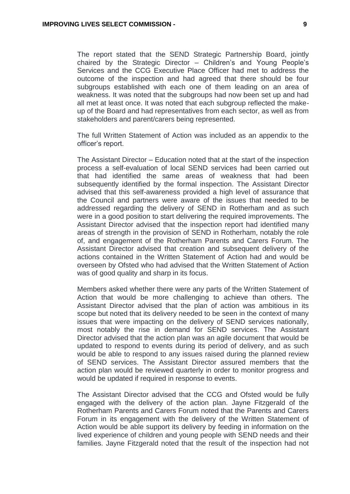The report stated that the SEND Strategic Partnership Board, jointly chaired by the Strategic Director – Children's and Young People's Services and the CCG Executive Place Officer had met to address the outcome of the inspection and had agreed that there should be four subgroups established with each one of them leading on an area of weakness. It was noted that the subgroups had now been set up and had all met at least once. It was noted that each subgroup reflected the makeup of the Board and had representatives from each sector, as well as from stakeholders and parent/carers being represented.

The full Written Statement of Action was included as an appendix to the officer's report.

The Assistant Director – Education noted that at the start of the inspection process a self-evaluation of local SEND services had been carried out that had identified the same areas of weakness that had been subsequently identified by the formal inspection. The Assistant Director advised that this self-awareness provided a high level of assurance that the Council and partners were aware of the issues that needed to be addressed regarding the delivery of SEND in Rotherham and as such were in a good position to start delivering the required improvements. The Assistant Director advised that the inspection report had identified many areas of strength in the provision of SEND in Rotherham, notably the role of, and engagement of the Rotherham Parents and Carers Forum. The Assistant Director advised that creation and subsequent delivery of the actions contained in the Written Statement of Action had and would be overseen by Ofsted who had advised that the Written Statement of Action was of good quality and sharp in its focus.

Members asked whether there were any parts of the Written Statement of Action that would be more challenging to achieve than others. The Assistant Director advised that the plan of action was ambitious in its scope but noted that its delivery needed to be seen in the context of many issues that were impacting on the delivery of SEND services nationally, most notably the rise in demand for SEND services. The Assistant Director advised that the action plan was an agile document that would be updated to respond to events during its period of delivery, and as such would be able to respond to any issues raised during the planned review of SEND services. The Assistant Director assured members that the action plan would be reviewed quarterly in order to monitor progress and would be updated if required in response to events.

The Assistant Director advised that the CCG and Ofsted would be fully engaged with the delivery of the action plan. Jayne Fitzgerald of the Rotherham Parents and Carers Forum noted that the Parents and Carers Forum in its engagement with the delivery of the Written Statement of Action would be able support its delivery by feeding in information on the lived experience of children and young people with SEND needs and their families. Jayne Fitzgerald noted that the result of the inspection had not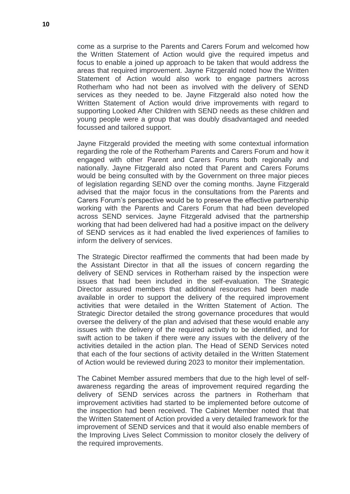come as a surprise to the Parents and Carers Forum and welcomed how the Written Statement of Action would give the required impetus and focus to enable a joined up approach to be taken that would address the areas that required improvement. Jayne Fitzgerald noted how the Written Statement of Action would also work to engage partners across Rotherham who had not been as involved with the delivery of SEND services as they needed to be. Jayne Fitzgerald also noted how the Written Statement of Action would drive improvements with regard to supporting Looked After Children with SEND needs as these children and young people were a group that was doubly disadvantaged and needed focussed and tailored support.

Jayne Fitzgerald provided the meeting with some contextual information regarding the role of the Rotherham Parents and Carers Forum and how it engaged with other Parent and Carers Forums both regionally and nationally. Jayne Fitzgerald also noted that Parent and Carers Forums would be being consulted with by the Government on three major pieces of legislation regarding SEND over the coming months. Jayne Fitzgerald advised that the major focus in the consultations from the Parents and Carers Forum's perspective would be to preserve the effective partnership working with the Parents and Carers Forum that had been developed across SEND services. Jayne Fitzgerald advised that the partnership working that had been delivered had had a positive impact on the delivery of SEND services as it had enabled the lived experiences of families to inform the delivery of services.

The Strategic Director reaffirmed the comments that had been made by the Assistant Director in that all the issues of concern regarding the delivery of SEND services in Rotherham raised by the inspection were issues that had been included in the self-evaluation. The Strategic Director assured members that additional resources had been made available in order to support the delivery of the required improvement activities that were detailed in the Written Statement of Action. The Strategic Director detailed the strong governance procedures that would oversee the delivery of the plan and advised that these would enable any issues with the delivery of the required activity to be identified, and for swift action to be taken if there were any issues with the delivery of the activities detailed in the action plan. The Head of SEND Services noted that each of the four sections of activity detailed in the Written Statement of Action would be reviewed during 2023 to monitor their implementation.

The Cabinet Member assured members that due to the high level of selfawareness regarding the areas of improvement required regarding the delivery of SEND services across the partners in Rotherham that improvement activities had started to be implemented before outcome of the inspection had been received. The Cabinet Member noted that that the Written Statement of Action provided a very detailed framework for the improvement of SEND services and that it would also enable members of the Improving Lives Select Commission to monitor closely the delivery of the required improvements.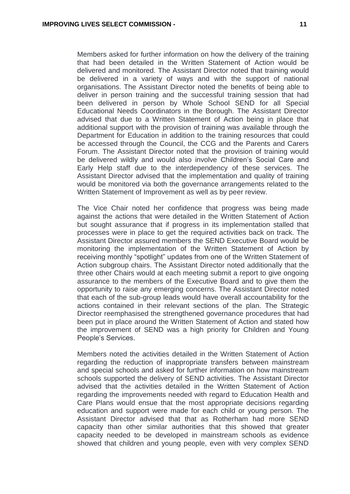Members asked for further information on how the delivery of the training that had been detailed in the Written Statement of Action would be delivered and monitored. The Assistant Director noted that training would be delivered in a variety of ways and with the support of national organisations. The Assistant Director noted the benefits of being able to deliver in person training and the successful training session that had been delivered in person by Whole School SEND for all Special Educational Needs Coordinators in the Borough. The Assistant Director advised that due to a Written Statement of Action being in place that additional support with the provision of training was available through the Department for Education in addition to the training resources that could be accessed through the Council, the CCG and the Parents and Carers Forum. The Assistant Director noted that the provision of training would be delivered wildly and would also involve Children's Social Care and Early Help staff due to the interdependency of these services. The Assistant Director advised that the implementation and quality of training would be monitored via both the governance arrangements related to the Written Statement of Improvement as well as by peer review.

The Vice Chair noted her confidence that progress was being made against the actions that were detailed in the Written Statement of Action but sought assurance that if progress in its implementation stalled that processes were in place to get the required activities back on track. The Assistant Director assured members the SEND Executive Board would be monitoring the implementation of the Written Statement of Action by receiving monthly "spotlight" updates from one of the Written Statement of Action subgroup chairs. The Assistant Director noted additionally that the three other Chairs would at each meeting submit a report to give ongoing assurance to the members of the Executive Board and to give them the opportunity to raise any emerging concerns. The Assistant Director noted that each of the sub-group leads would have overall accountability for the actions contained in their relevant sections of the plan. The Strategic Director reemphasised the strengthened governance procedures that had been put in place around the Written Statement of Action and stated how the improvement of SEND was a high priority for Children and Young People's Services.

Members noted the activities detailed in the Written Statement of Action regarding the reduction of inappropriate transfers between mainstream and special schools and asked for further information on how mainstream schools supported the delivery of SEND activities. The Assistant Director advised that the activities detailed in the Written Statement of Action regarding the improvements needed with regard to Education Health and Care Plans would ensue that the most appropriate decisions regarding education and support were made for each child or young person. The Assistant Director advised that that as Rotherham had more SEND capacity than other similar authorities that this showed that greater capacity needed to be developed in mainstream schools as evidence showed that children and young people, even with very complex SEND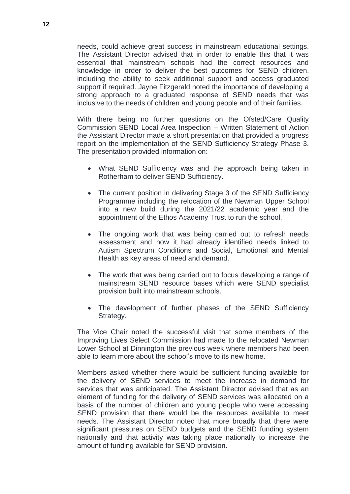needs, could achieve great success in mainstream educational settings. The Assistant Director advised that in order to enable this that it was essential that mainstream schools had the correct resources and knowledge in order to deliver the best outcomes for SEND children, including the ability to seek additional support and access graduated support if required. Jayne Fitzgerald noted the importance of developing a strong approach to a graduated response of SEND needs that was inclusive to the needs of children and young people and of their families.

With there being no further questions on the Ofsted/Care Quality Commission SEND Local Area Inspection – Written Statement of Action the Assistant Director made a short presentation that provided a progress report on the implementation of the SEND Sufficiency Strategy Phase 3. The presentation provided information on:

- What SEND Sufficiency was and the approach being taken in Rotherham to deliver SEND Sufficiency.
- The current position in delivering Stage 3 of the SEND Sufficiency Programme including the relocation of the Newman Upper School into a new build during the 2021/22 academic year and the appointment of the Ethos Academy Trust to run the school.
- The ongoing work that was being carried out to refresh needs assessment and how it had already identified needs linked to Autism Spectrum Conditions and Social, Emotional and Mental Health as key areas of need and demand.
- The work that was being carried out to focus developing a range of mainstream SEND resource bases which were SEND specialist provision built into mainstream schools.
- The development of further phases of the SEND Sufficiency Strategy.

The Vice Chair noted the successful visit that some members of the Improving Lives Select Commission had made to the relocated Newman Lower School at Dinnington the previous week where members had been able to learn more about the school's move to its new home.

Members asked whether there would be sufficient funding available for the delivery of SEND services to meet the increase in demand for services that was anticipated. The Assistant Director advised that as an element of funding for the delivery of SEND services was allocated on a basis of the number of children and young people who were accessing SEND provision that there would be the resources available to meet needs. The Assistant Director noted that more broadly that there were significant pressures on SEND budgets and the SEND funding system nationally and that activity was taking place nationally to increase the amount of funding available for SEND provision.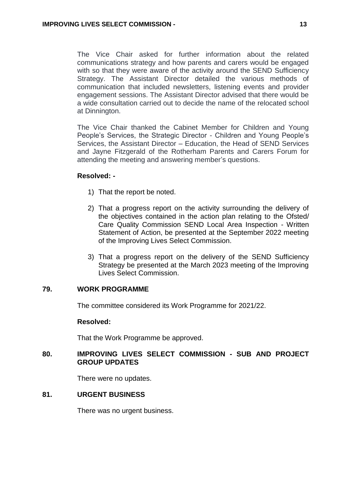The Vice Chair asked for further information about the related communications strategy and how parents and carers would be engaged with so that they were aware of the activity around the SEND Sufficiency Strategy. The Assistant Director detailed the various methods of communication that included newsletters, listening events and provider engagement sessions. The Assistant Director advised that there would be a wide consultation carried out to decide the name of the relocated school at Dinnington.

The Vice Chair thanked the Cabinet Member for Children and Young People's Services, the Strategic Director - Children and Young People's Services, the Assistant Director – Education, the Head of SEND Services and Jayne Fitzgerald of the Rotherham Parents and Carers Forum for attending the meeting and answering member's questions.

### **Resolved: -**

- 1) That the report be noted.
- 2) That a progress report on the activity surrounding the delivery of the objectives contained in the action plan relating to the Ofsted/ Care Quality Commission SEND Local Area Inspection - Written Statement of Action, be presented at the September 2022 meeting of the Improving Lives Select Commission.
- 3) That a progress report on the delivery of the SEND Sufficiency Strategy be presented at the March 2023 meeting of the Improving Lives Select Commission.

### **79. WORK PROGRAMME**

The committee considered its Work Programme for 2021/22.

#### **Resolved:**

That the Work Programme be approved.

# **80. IMPROVING LIVES SELECT COMMISSION - SUB AND PROJECT GROUP UPDATES**

There were no updates.

# **81. URGENT BUSINESS**

There was no urgent business.